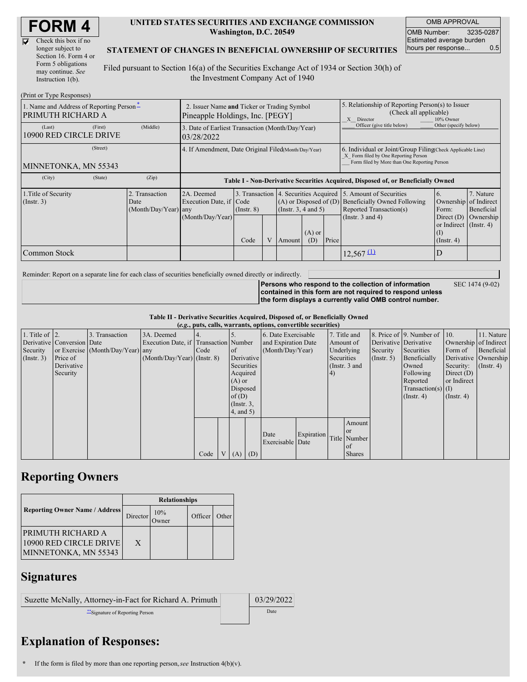D

| Check this box if no  |
|-----------------------|
| longer subject to     |
| Section 16. Form 4 or |
| Form 5 obligations    |
| may continue. See     |
| Instruction 1(b).     |

#### **UNITED STATES SECURITIES AND EXCHANGE COMMISSION Washington, D.C. 20549**

OMB APPROVAL OMB Number: 3235-0287 Estimated average burden hours per response... 0.5

#### **STATEMENT OF CHANGES IN BENEFICIAL OWNERSHIP OF SECURITIES**

Filed pursuant to Section 16(a) of the Securities Exchange Act of 1934 or Section 30(h) of the Investment Company Act of 1940

| (Print or Type Responses)                                     |                                                                                                                                                                                                     |          |                                                                                  |      |                                                                                                                                                       |        |                                                                                                                                                    |       |                            |                                                                         |           |
|---------------------------------------------------------------|-----------------------------------------------------------------------------------------------------------------------------------------------------------------------------------------------------|----------|----------------------------------------------------------------------------------|------|-------------------------------------------------------------------------------------------------------------------------------------------------------|--------|----------------------------------------------------------------------------------------------------------------------------------------------------|-------|----------------------------|-------------------------------------------------------------------------|-----------|
| 1. Name and Address of Reporting Person-<br>PRIMUTH RICHARD A | 2. Issuer Name and Ticker or Trading Symbol<br>Pineapple Holdings, Inc. [PEGY]                                                                                                                      |          |                                                                                  |      |                                                                                                                                                       |        | 5. Relationship of Reporting Person(s) to Issuer<br>(Check all applicable)<br>10% Owner<br>X Director                                              |       |                            |                                                                         |           |
| (Last)<br>10900 RED CIRCLE DRIVE                              | (First)                                                                                                                                                                                             | (Middle) | 3. Date of Earliest Transaction (Month/Day/Year)<br>03/28/2022                   |      |                                                                                                                                                       |        |                                                                                                                                                    |       | Officer (give title below) | Other (specify below)                                                   |           |
| MINNETONKA, MN 55343                                          | 4. If Amendment, Date Original Filed Month/Day/Year)                                                                                                                                                |          |                                                                                  |      |                                                                                                                                                       |        | 6. Individual or Joint/Group Filing Check Applicable Line)<br>X Form filed by One Reporting Person<br>Form filed by More than One Reporting Person |       |                            |                                                                         |           |
| (City)                                                        | (State)                                                                                                                                                                                             | (Zip)    | Table I - Non-Derivative Securities Acquired, Disposed of, or Beneficially Owned |      |                                                                                                                                                       |        |                                                                                                                                                    |       |                            |                                                                         |           |
| 1. Title of Security<br>$($ Instr. 3 $)$                      | 3. Transaction 4. Securities Acquired 5. Amount of Securities<br>2. Transaction<br>2A. Deemed<br>Execution Date, if Code<br>Date<br>(Insert. 3, 4 and 5)<br>(Month/Day/Year) any<br>$($ Instr. $8)$ |          |                                                                                  |      | 7. Nature<br>6.<br>$(A)$ or Disposed of $(D)$ Beneficially Owned Following<br>Ownership of Indirect<br>Reported Transaction(s)<br>Beneficial<br>Form: |        |                                                                                                                                                    |       |                            |                                                                         |           |
|                                                               |                                                                                                                                                                                                     |          | (Month/Day/Year)                                                                 | Code |                                                                                                                                                       | Amount | $(A)$ or<br>(D)                                                                                                                                    | Price | (Instr. $3$ and $4$ )      | Direct $(D)$<br>or Indirect $($ Instr. 4 $)$<br>(1)<br>$($ Instr. 4 $)$ | Ownership |
| Common Stock                                                  |                                                                                                                                                                                                     |          |                                                                                  |      |                                                                                                                                                       |        |                                                                                                                                                    |       | $12,567 \underline{u}$     |                                                                         |           |

Reminder: Report on a separate line for each class of securities beneficially owned directly or indirectly.

**Persons who respond to the collection of information contained in this form are not required to respond unless the form displays a currently valid OMB control number.** SEC 1474 (9-02)

**Table II - Derivative Securities Acquired, Disposed of, or Beneficially Owned (***e.g.***, puts, calls, warrants, options, convertible securities)**

|                        | $(0.5)$ , puts, cans, warrants, options, convertible securities |                                  |                                       |      |  |                 |                     |                          |            |               |               |                       |                              |                      |            |               |
|------------------------|-----------------------------------------------------------------|----------------------------------|---------------------------------------|------|--|-----------------|---------------------|--------------------------|------------|---------------|---------------|-----------------------|------------------------------|----------------------|------------|---------------|
| 1. Title of $\vert$ 2. |                                                                 | 3. Transaction                   | 3A. Deemed                            |      |  |                 |                     | 6. Date Exercisable      |            |               | 7. Title and  |                       | 8. Price of 9. Number of 10. |                      | 11. Nature |               |
|                        | Derivative Conversion Date                                      |                                  | Execution Date, if Transaction Number |      |  |                 | and Expiration Date |                          | Amount of  |               |               | Derivative Derivative | Ownership of Indirect        |                      |            |               |
| Security               |                                                                 | or Exercise (Month/Day/Year) any |                                       | Code |  | of of           | (Month/Day/Year)    |                          | Underlying |               | Security      | Securities            | Form of                      | Beneficial           |            |               |
| $($ Instr. 3 $)$       | Price of                                                        |                                  | $(Month/Day/Year)$ (Instr. 8)         |      |  | Derivative      |                     |                          |            | Securities    |               | $($ Instr. 5 $)$      | Beneficially                 | Derivative Ownership |            |               |
|                        | Derivative                                                      |                                  |                                       |      |  | Securities      |                     |                          |            | (Instr. 3 and |               |                       |                              | Owned                | Security:  | $($ Instr. 4) |
|                        | Security                                                        |                                  |                                       |      |  | Acquired        |                     |                          |            | 4)            |               |                       | Following                    | Direct $(D)$         |            |               |
|                        |                                                                 |                                  |                                       |      |  | $(A)$ or        |                     |                          |            |               |               |                       | Reported                     | or Indirect          |            |               |
|                        |                                                                 |                                  |                                       |      |  | Disposed        |                     |                          |            |               |               |                       | Transaction(s) $(I)$         |                      |            |               |
|                        |                                                                 |                                  |                                       |      |  | of $(D)$        |                     |                          |            |               |               |                       | $($ Instr. 4 $)$             | $($ Instr. 4 $)$     |            |               |
|                        |                                                                 |                                  |                                       |      |  | $($ Instr. $3,$ |                     |                          |            |               |               |                       |                              |                      |            |               |
|                        |                                                                 |                                  |                                       |      |  | $4$ , and $5$ ) |                     |                          |            |               |               |                       |                              |                      |            |               |
|                        |                                                                 |                                  |                                       |      |  |                 |                     |                          |            | Amount        |               |                       |                              |                      |            |               |
|                        |                                                                 |                                  |                                       |      |  |                 |                     |                          |            |               | <sub>or</sub> |                       |                              |                      |            |               |
|                        |                                                                 |                                  |                                       |      |  |                 |                     | Date<br>Exercisable Date | Expiration |               | Title Number  |                       |                              |                      |            |               |
|                        |                                                                 |                                  |                                       |      |  |                 |                     |                          |            |               | of of         |                       |                              |                      |            |               |
|                        |                                                                 |                                  |                                       | Code |  | V(A)            | (D)                 |                          |            |               | <b>Shares</b> |                       |                              |                      |            |               |

## **Reporting Owners**

|                                                                      | <b>Relationships</b> |               |         |       |  |  |  |  |
|----------------------------------------------------------------------|----------------------|---------------|---------|-------|--|--|--|--|
| <b>Reporting Owner Name / Address</b>                                | Director             | 10%<br>.)wner | Officer | Other |  |  |  |  |
| IPRIMUTH RICHARD A<br>10900 RED CIRCLE DRIVE<br>MINNETONKA, MN 55343 | X                    |               |         |       |  |  |  |  |

### **Signatures**

| Suzette McNally, Attorney-in-Fact for Richard A. Primuth | 03/29/2022 |
|----------------------------------------------------------|------------|
| **Signature of Reporting Person                          | Date       |

# **Explanation of Responses:**

**<sup>\*</sup>** If the form is filed by more than one reporting person,*see* Instruction 4(b)(v).